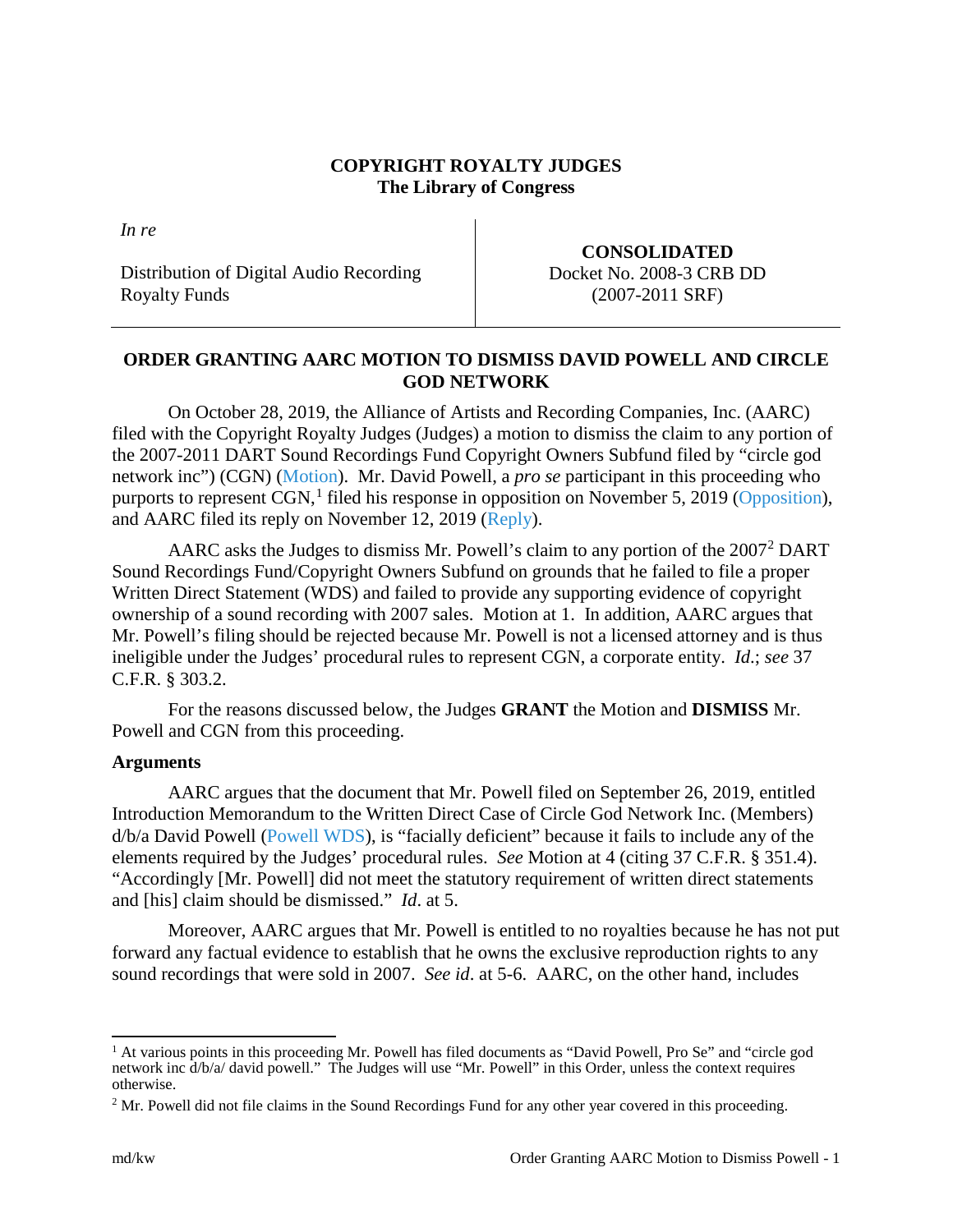## **COPYRIGHT ROYALTY JUDGES The Library of Congress**

*In re*

Distribution of Digital Audio Recording Royalty Funds

**CONSOLIDATED** Docket No. 2008-3 CRB DD (2007-2011 SRF)

## **ORDER GRANTING AARC MOTION TO DISMISS DAVID POWELL AND CIRCLE GOD NETWORK**

On October 28, 2019, the Alliance of Artists and Recording Companies, Inc. (AARC) filed with the Copyright Royalty Judges (Judges) a motion to dismiss the claim to any portion of the 2007-2011 DART Sound Recordings Fund Copyright Owners Subfund filed by "circle god network inc") (CGN) [\(Motion\)](https://app.crb.gov/case/viewDocument/12213). Mr. David Powell, a *pro se* participant in this proceeding who purports to represent CGN,<sup>[1](#page-0-0)</sup> filed his response in opposition on November 5, 2019 [\(Opposition\)](https://app.crb.gov/case/viewDocument/13235), and AARC filed its reply on November 12, 2019 [\(Reply\)](https://app.crb.gov/case/viewDocument/15240).

AARC asks the Judges to dismiss Mr. Powell's claim to any portion of the  $2007<sup>2</sup>$  $2007<sup>2</sup>$  DART Sound Recordings Fund/Copyright Owners Subfund on grounds that he failed to file a proper Written Direct Statement (WDS) and failed to provide any supporting evidence of copyright ownership of a sound recording with 2007 sales. Motion at 1. In addition, AARC argues that Mr. Powell's filing should be rejected because Mr. Powell is not a licensed attorney and is thus ineligible under the Judges' procedural rules to represent CGN, a corporate entity. *Id*.; *see* 37 C.F.R. § 303.2.

For the reasons discussed below, the Judges **GRANT** the Motion and **DISMISS** Mr. Powell and CGN from this proceeding.

## **Arguments**

AARC argues that the document that Mr. Powell filed on September 26, 2019, entitled Introduction Memorandum to the Written Direct Case of Circle God Network Inc. (Members) d/b/a David Powell [\(Powell WDS\)](https://app.crb.gov/case/viewDocument/9546), is "facially deficient" because it fails to include any of the elements required by the Judges' procedural rules. *See* Motion at 4 (citing 37 C.F.R. § 351.4). "Accordingly [Mr. Powell] did not meet the statutory requirement of written direct statements and [his] claim should be dismissed." *Id*. at 5.

Moreover, AARC argues that Mr. Powell is entitled to no royalties because he has not put forward any factual evidence to establish that he owns the exclusive reproduction rights to any sound recordings that were sold in 2007. *See id*. at 5-6. AARC, on the other hand, includes

<span id="page-0-0"></span> <sup>1</sup> At various points in this proceeding Mr. Powell has filed documents as "David Powell, Pro Se" and "circle god network inc d/b/a/ david powell." The Judges will use "Mr. Powell" in this Order, unless the context requires otherwise.

<span id="page-0-1"></span><sup>&</sup>lt;sup>2</sup> Mr. Powell did not file claims in the Sound Recordings Fund for any other year covered in this proceeding.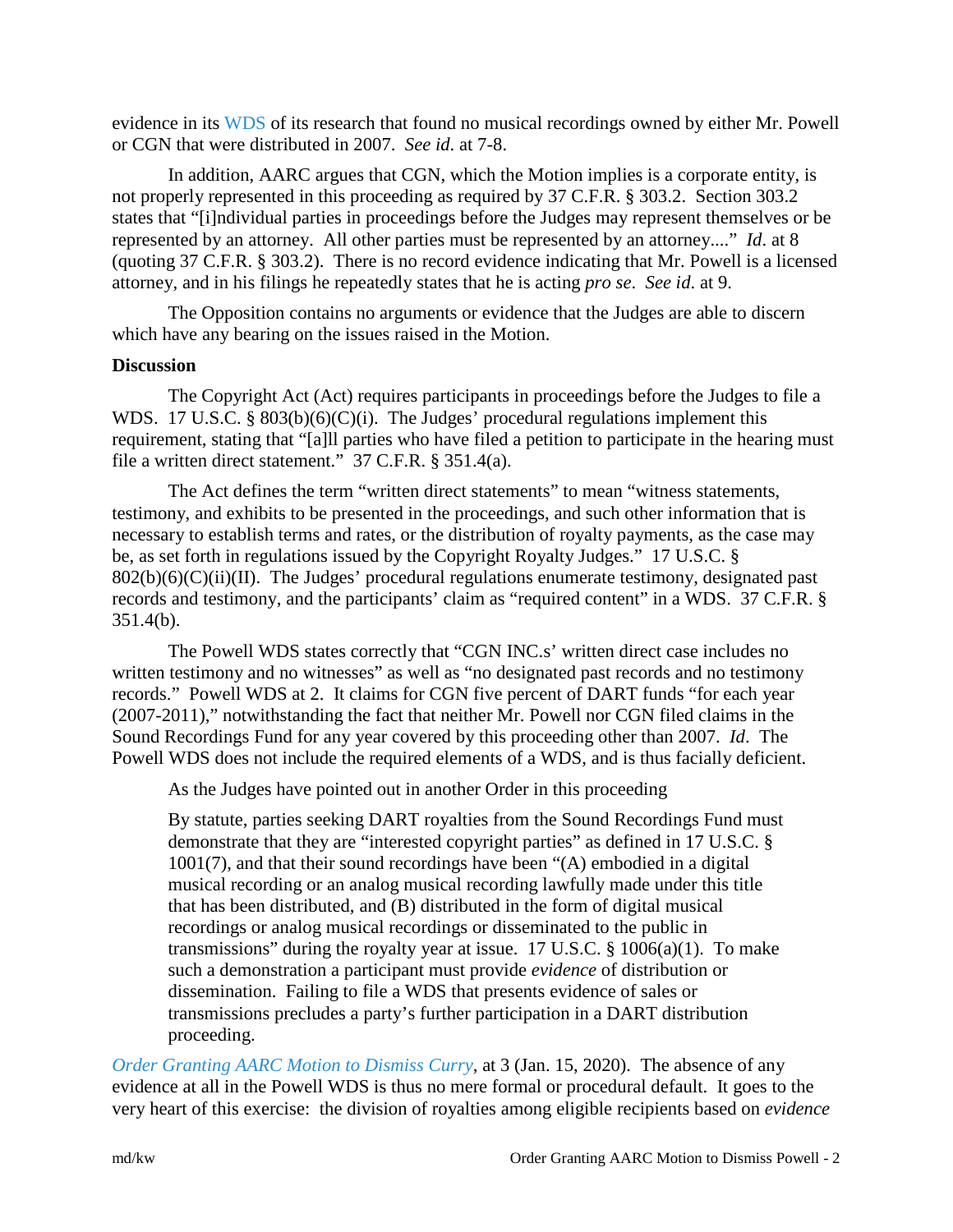evidence in its [WDS](https://app.crb.gov/case/viewDocument/9968) of its research that found no musical recordings owned by either Mr. Powell or CGN that were distributed in 2007. *See id*. at 7-8.

In addition, AARC argues that CGN, which the Motion implies is a corporate entity, is not properly represented in this proceeding as required by 37 C.F.R. § 303.2. Section 303.2 states that "[i]ndividual parties in proceedings before the Judges may represent themselves or be represented by an attorney. All other parties must be represented by an attorney...." *Id*. at 8 (quoting 37 C.F.R. § 303.2). There is no record evidence indicating that Mr. Powell is a licensed attorney, and in his filings he repeatedly states that he is acting *pro se*. *See id*. at 9.

The Opposition contains no arguments or evidence that the Judges are able to discern which have any bearing on the issues raised in the Motion.

## **Discussion**

The Copyright Act (Act) requires participants in proceedings before the Judges to file a WDS. 17 U.S.C. § 803(b)(6)(C)(i). The Judges' procedural regulations implement this requirement, stating that "[a]ll parties who have filed a petition to participate in the hearing must file a written direct statement." 37 C.F.R. § 351.4(a).

The Act defines the term "written direct statements" to mean "witness statements, testimony, and exhibits to be presented in the proceedings, and such other information that is necessary to establish terms and rates, or the distribution of royalty payments, as the case may be, as set forth in regulations issued by the Copyright Royalty Judges." 17 U.S.C. §  $802(b)(6)(C)(ii)(II)$ . The Judges' procedural regulations enumerate testimony, designated past records and testimony, and the participants' claim as "required content" in a WDS. 37 C.F.R. § 351.4(b).

The Powell WDS states correctly that "CGN INC.s' written direct case includes no written testimony and no witnesses" as well as "no designated past records and no testimony records." Powell WDS at 2. It claims for CGN five percent of DART funds "for each year (2007-2011)," notwithstanding the fact that neither Mr. Powell nor CGN filed claims in the Sound Recordings Fund for any year covered by this proceeding other than 2007. *Id*. The Powell WDS does not include the required elements of a WDS, and is thus facially deficient.

As the Judges have pointed out in another Order in this proceeding

By statute, parties seeking DART royalties from the Sound Recordings Fund must demonstrate that they are "interested copyright parties" as defined in 17 U.S.C. § 1001(7), and that their sound recordings have been "(A) embodied in a digital musical recording or an analog musical recording lawfully made under this title that has been distributed, and (B) distributed in the form of digital musical recordings or analog musical recordings or disseminated to the public in transmissions" during the royalty year at issue.  $17 \text{ U.S.C. }$  §  $1006(a)(1)$ . To make such a demonstration a participant must provide *evidence* of distribution or dissemination. Failing to file a WDS that presents evidence of sales or transmissions precludes a party's further participation in a DART distribution proceeding.

*[Order Granting AARC Motion to Dismiss Curry](https://app.crb.gov/case/viewDocument/20245)*, at 3 (Jan. 15, 2020). The absence of any evidence at all in the Powell WDS is thus no mere formal or procedural default. It goes to the very heart of this exercise: the division of royalties among eligible recipients based on *evidence*